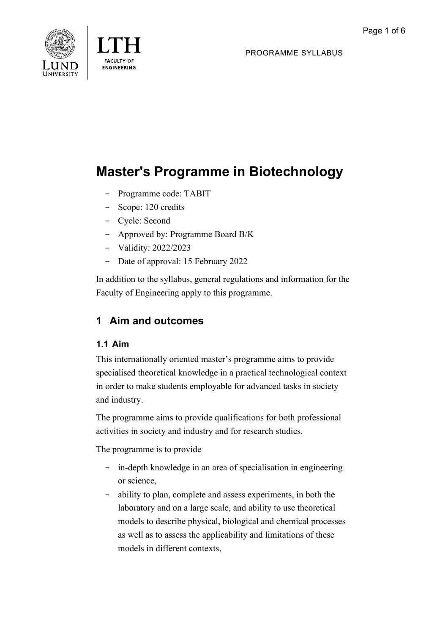



PROGRAMME SYLLABUS

# **Master's Programme in Biotechnology**

- Programme code: TABIT
- Scope: 120 credits
- Cycle: Second
- Approved by: Programme Board B/K
- Validity: 2022/2023
- Date of approval: 15 February 2022

In addition to the syllabus, general regulations and information for the Faculty of Engineering apply to this programme.

# **1 Aim and outcomes**

# **1.1 Aim**

This internationally oriented master's programme aims to provide specialised theoretical knowledge in a practical technological context in order to make students employable for advanced tasks in society and industry.

The programme aims to provide qualifications for both professional activities in society and industry and for research studies.

The programme is to provide

- in-depth knowledge in an area of specialisation in engineering or science,
- ability to plan, complete and assess experiments, in both the laboratory and on a large scale, and ability to use theoretical models to describe physical, biological and chemical processes as well as to assess the applicability and limitations of these models in different contexts,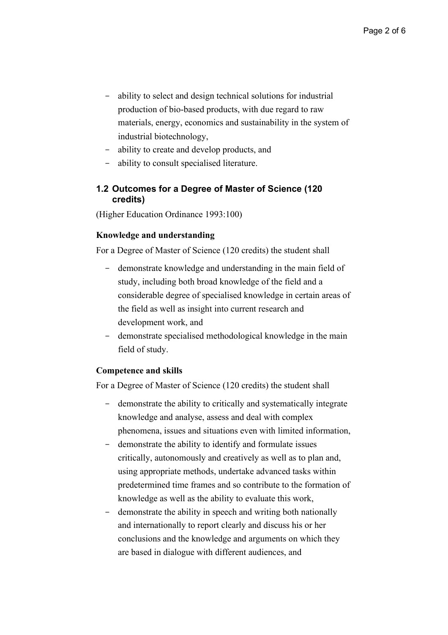- ability to select and design technical solutions for industrial production of bio-based products, with due regard to raw materials, energy, economics and sustainability in the system of industrial biotechnology,
- ability to create and develop products, and
- ability to consult specialised literature.

#### **1.2 Outcomes for a Degree of Master of Science (120 credits)**

(Higher Education Ordinance 1993:100)

#### **Knowledge and understanding**

For a Degree of Master of Science (120 credits) the student shall

- demonstrate knowledge and understanding in the main field of study, including both broad knowledge of the field and a considerable degree of specialised knowledge in certain areas of the field as well as insight into current research and development work, and
- demonstrate specialised methodological knowledge in the main field of study.

#### **Competence and skills**

For a Degree of Master of Science (120 credits) the student shall

- demonstrate the ability to critically and systematically integrate knowledge and analyse, assess and deal with complex phenomena, issues and situations even with limited information,
- demonstrate the ability to identify and formulate issues critically, autonomously and creatively as well as to plan and, using appropriate methods, undertake advanced tasks within predetermined time frames and so contribute to the formation of knowledge as well as the ability to evaluate this work,
- demonstrate the ability in speech and writing both nationally and internationally to report clearly and discuss his or her conclusions and the knowledge and arguments on which they are based in dialogue with different audiences, and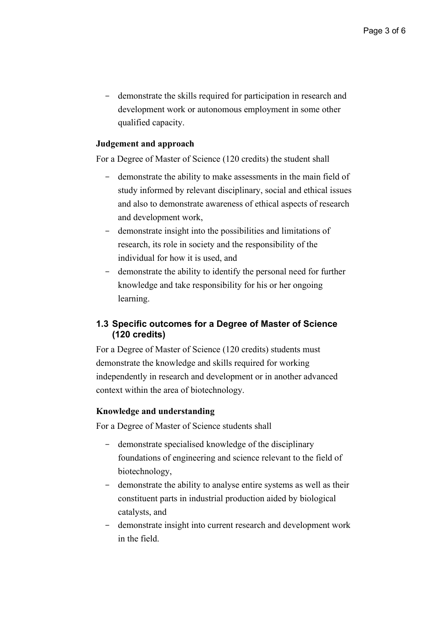- demonstrate the skills required for participation in research and development work or autonomous employment in some other qualified capacity.

#### **Judgement and approach**

For a Degree of Master of Science (120 credits) the student shall

- demonstrate the ability to make assessments in the main field of study informed by relevant disciplinary, social and ethical issues and also to demonstrate awareness of ethical aspects of research and development work,
- demonstrate insight into the possibilities and limitations of research, its role in society and the responsibility of the individual for how it is used, and
- demonstrate the ability to identify the personal need for further knowledge and take responsibility for his or her ongoing learning.

### **1.3 Specific outcomes for a Degree of Master of Science (120 credits)**

For a Degree of Master of Science (120 credits) students must demonstrate the knowledge and skills required for working independently in research and development or in another advanced context within the area of biotechnology.

#### **Knowledge and understanding**

For a Degree of Master of Science students shall

- demonstrate specialised knowledge of the disciplinary foundations of engineering and science relevant to the field of biotechnology,
- demonstrate the ability to analyse entire systems as well as their constituent parts in industrial production aided by biological catalysts, and
- demonstrate insight into current research and development work in the field.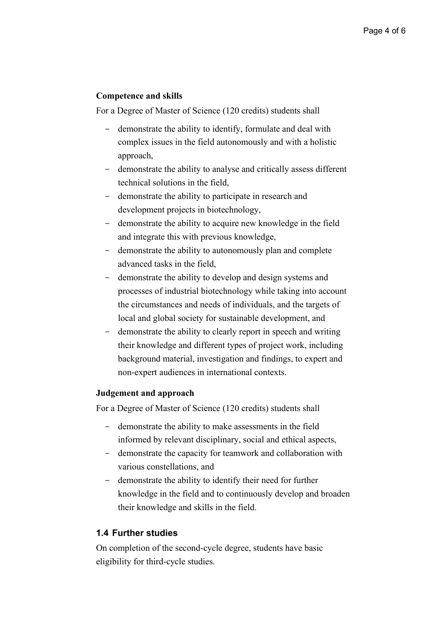#### **Competence and skills**

For a Degree of Master of Science (120 credits) students shall

- demonstrate the ability to identify, formulate and deal with complex issues in the field autonomously and with a holistic approach,
- demonstrate the ability to analyse and critically assess different technical solutions in the field,
- demonstrate the ability to participate in research and development projects in biotechnology,
- demonstrate the ability to acquire new knowledge in the field and integrate this with previous knowledge,
- demonstrate the ability to autonomously plan and complete advanced tasks in the field,
- demonstrate the ability to develop and design systems and processes of industrial biotechnology while taking into account the circumstances and needs of individuals, and the targets of local and global society for sustainable development, and
- demonstrate the ability to clearly report in speech and writing their knowledge and different types of project work, including background material, investigation and findings, to expert and non-expert audiences in international contexts.

#### **Judgement and approach**

For a Degree of Master of Science (120 credits) students shall

- demonstrate the ability to make assessments in the field informed by relevant disciplinary, social and ethical aspects,
- demonstrate the capacity for teamwork and collaboration with various constellations, and
- demonstrate the ability to identify their need for further knowledge in the field and to continuously develop and broaden their knowledge and skills in the field.

#### **1.4 Further studies**

On completion of the second-cycle degree, students have basic eligibility for third-cycle studies.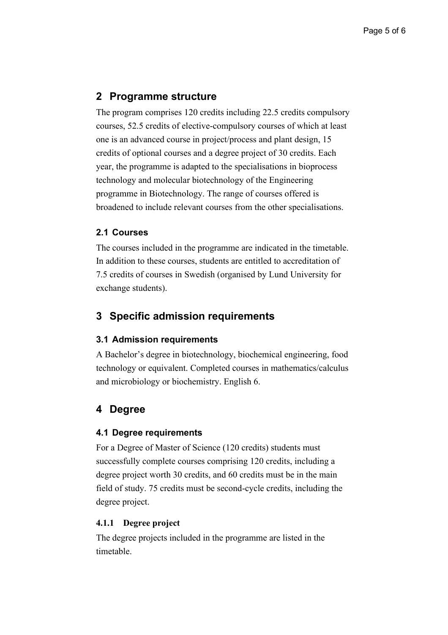# **2 Programme structure**

The program comprises 120 credits including 22.5 credits compulsory courses, 52.5 credits of elective-compulsory courses of which at least one is an advanced course in project/process and plant design, 15 credits of optional courses and a degree project of 30 credits. Each year, the programme is adapted to the specialisations in bioprocess technology and molecular biotechnology of the Engineering programme in Biotechnology. The range of courses offered is broadened to include relevant courses from the other specialisations.

#### **2.1 Courses**

The courses included in the programme are indicated in the timetable. In addition to these courses, students are entitled to accreditation of 7.5 credits of courses in Swedish (organised by Lund University for exchange students).

# **3 Specific admission requirements**

### **3.1 Admission requirements**

A Bachelor's degree in biotechnology, biochemical engineering, food technology or equivalent. Completed courses in mathematics/calculus and microbiology or biochemistry. English 6.

# **4 Degree**

#### **4.1 Degree requirements**

For a Degree of Master of Science (120 credits) students must successfully complete courses comprising 120 credits, including a degree project worth 30 credits, and 60 credits must be in the main field of study. 75 credits must be second-cycle credits, including the degree project.

#### **4.1.1 Degree project**

The degree projects included in the programme are listed in the timetable.